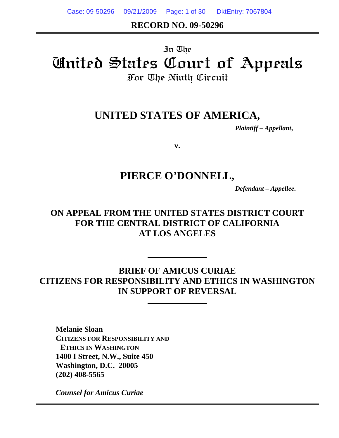Case: 09-50296 09/21/2009 Page: 1 of 30 DktEntry: 7067804

### **RECORD NO. 09-50296**

# In The United States Court of Appeals For The Ninth Circuit

# **UNITED STATES OF AMERICA,**

*Plaintiff – Appellant***,**

**v.** 

# **PIERCE O'DONNELL,**

*Defendant – Appellee***.** 

### **ON APPEAL FROM THE UNITED STATES DISTRICT COURT FOR THE CENTRAL DISTRICT OF CALIFORNIA AT LOS ANGELES**

**BRIEF OF AMICUS CURIAE CITIZENS FOR RESPONSIBILITY AND ETHICS IN WASHINGTON IN SUPPORT OF REVERSAL** 

**Melanie Sloan CITIZENS FOR RESPONSIBILITY AND ETHICS IN WASHINGTON 1400 I Street, N.W., Suite 450 Washington, D.C. 20005 (202) 408-5565** 

*Counsel for Amicus Curiae*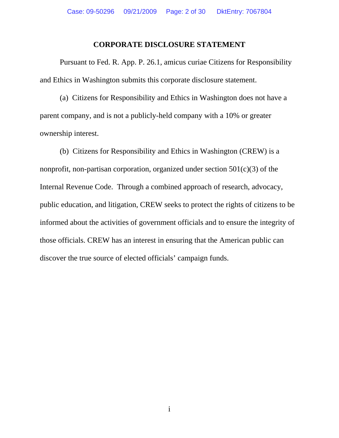#### **CORPORATE DISCLOSURE STATEMENT**

Pursuant to Fed. R. App. P. 26.1, amicus curiae Citizens for Responsibility and Ethics in Washington submits this corporate disclosure statement.

(a) Citizens for Responsibility and Ethics in Washington does not have a parent company, and is not a publicly-held company with a 10% or greater ownership interest.

(b) Citizens for Responsibility and Ethics in Washington (CREW) is a nonprofit, non-partisan corporation, organized under section 501(c)(3) of the Internal Revenue Code. Through a combined approach of research, advocacy, public education, and litigation, CREW seeks to protect the rights of citizens to be informed about the activities of government officials and to ensure the integrity of those officials. CREW has an interest in ensuring that the American public can discover the true source of elected officials' campaign funds.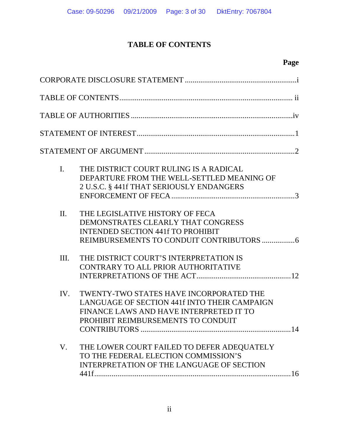### **TABLE OF CONTENTS**

# **Page**

| $\mathbf{I}$ . | THE DISTRICT COURT RULING IS A RADICAL<br>DEPARTURE FROM THE WELL-SETTLED MEANING OF<br>2 U.S.C. § 441f THAT SERIOUSLY ENDANGERS                                         |
|----------------|--------------------------------------------------------------------------------------------------------------------------------------------------------------------------|
| $\Pi$ .        | THE LEGISLATIVE HISTORY OF FECA<br>DEMONSTRATES CLEARLY THAT CONGRESS<br><b>INTENDED SECTION 441f TO PROHIBIT</b>                                                        |
| III.           | THE DISTRICT COURT'S INTERPRETATION IS<br>CONTRARY TO ALL PRIOR AUTHORITATIVE                                                                                            |
| IV.            | TWENTY-TWO STATES HAVE INCORPORATED THE<br>LANGUAGE OF SECTION 441f INTO THEIR CAMPAIGN<br>FINANCE LAWS AND HAVE INTERPRETED IT TO<br>PROHIBIT REIMBURSEMENTS TO CONDUIT |
| V.             | THE LOWER COURT FAILED TO DEFER ADEQUATELY<br>TO THE FEDERAL ELECTION COMMISSION'S<br>INTERPRETATION OF THE LANGUAGE OF SECTION                                          |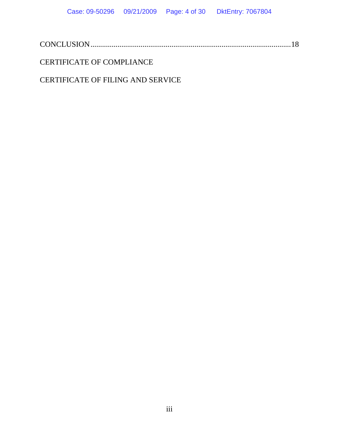|--|

### CERTIFICATE OF COMPLIANCE

### CERTIFICATE OF FILING AND SERVICE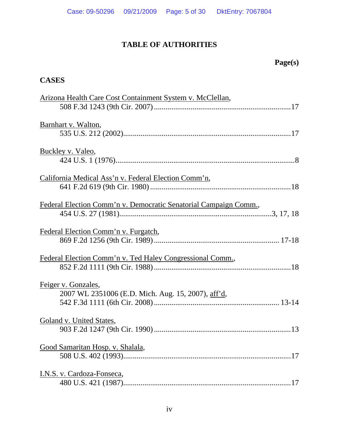### **TABLE OF AUTHORITIES**

# **Page(s)**

### **CASES**

| Arizona Health Care Cost Containment System v. McClellan,                 |
|---------------------------------------------------------------------------|
|                                                                           |
| Barnhart v. Walton,                                                       |
| Buckley v. Valeo,                                                         |
| California Medical Ass'n v. Federal Election Comm'n,                      |
| Federal Election Comm'n v. Democratic Senatorial Campaign Comm.,          |
| Federal Election Comm'n v. Furgatch,                                      |
| Federal Election Comm'n v. Ted Haley Congressional Comm.,                 |
| Feiger v. Gonzales,<br>2007 WL 2351006 (E.D. Mich. Aug. 15, 2007), aff'd, |
| Goland v. United States,                                                  |
| Good Samaritan Hosp. v. Shalala,                                          |
| I.N.S. v. Cardoza-Fonseca,                                                |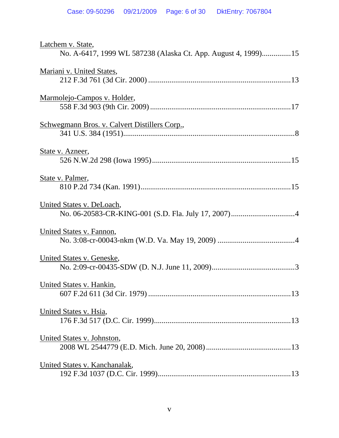| Latchem v. State,<br>No. A-6417, 1999 WL 587238 (Alaska Ct. App. August 4, 1999)15 |
|------------------------------------------------------------------------------------|
| Mariani v. United States,                                                          |
| Marmolejo-Campos v. Holder,                                                        |
| <u>Schwegmann Bros. v. Calvert Distillers Corp.,</u>                               |
| State v. Azneer,                                                                   |
| State v. Palmer,                                                                   |
| United States v. DeLoach,                                                          |
| United States v. Fannon,                                                           |
| United States v. Geneske,                                                          |
| United States v. Hankin,                                                           |
| United States v. Hsia,                                                             |
| United States v. Johnston,                                                         |
| United States v. Kanchanalak,                                                      |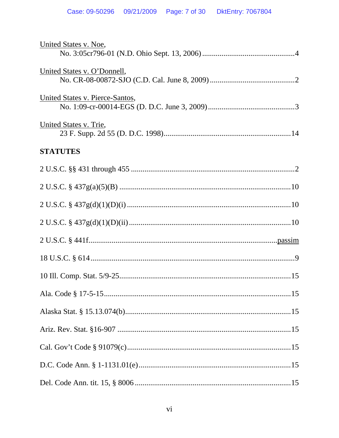| United States v. Noe,           |
|---------------------------------|
| United States v. O'Donnell,     |
| United States v. Pierce-Santos, |
| United States v. Trie,          |
| <b>STATUTES</b>                 |
|                                 |
|                                 |
|                                 |
|                                 |
|                                 |
|                                 |
|                                 |
|                                 |
|                                 |
|                                 |
|                                 |
|                                 |
|                                 |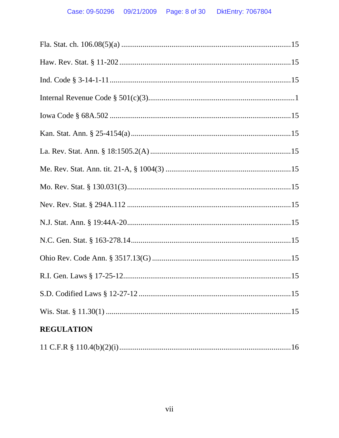| <b>REGULATION</b> |
|-------------------|
|                   |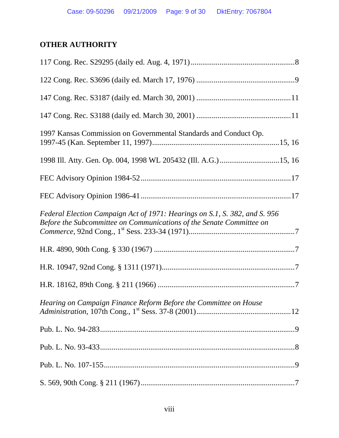### **OTHER AUTHORITY**

| 1997 Kansas Commission on Governmental Standards and Conduct Op.                                                                                   |
|----------------------------------------------------------------------------------------------------------------------------------------------------|
|                                                                                                                                                    |
|                                                                                                                                                    |
|                                                                                                                                                    |
| Federal Election Campaign Act of 1971: Hearings on S.1, S. 382, and S. 956<br>Before the Subcommittee on Communications of the Senate Committee on |
|                                                                                                                                                    |
|                                                                                                                                                    |
|                                                                                                                                                    |
| Hearing on Campaign Finance Reform Before the Committee on House                                                                                   |
|                                                                                                                                                    |
|                                                                                                                                                    |
|                                                                                                                                                    |
|                                                                                                                                                    |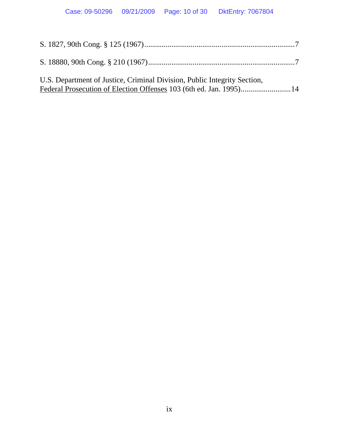| U.S. Department of Justice, Criminal Division, Public Integrity Section, |  |
|--------------------------------------------------------------------------|--|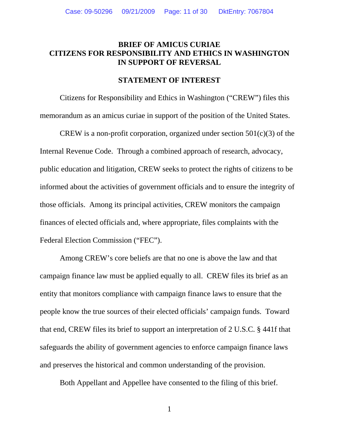#### **BRIEF OF AMICUS CURIAE CITIZENS FOR RESPONSIBILITY AND ETHICS IN WASHINGTON IN SUPPORT OF REVERSAL**

#### **STATEMENT OF INTEREST**

 Citizens for Responsibility and Ethics in Washington ("CREW") files this memorandum as an amicus curiae in support of the position of the United States.

CREW is a non-profit corporation, organized under section  $501(c)(3)$  of the Internal Revenue Code. Through a combined approach of research, advocacy, public education and litigation, CREW seeks to protect the rights of citizens to be informed about the activities of government officials and to ensure the integrity of those officials. Among its principal activities, CREW monitors the campaign finances of elected officials and, where appropriate, files complaints with the Federal Election Commission ("FEC").

Among CREW's core beliefs are that no one is above the law and that campaign finance law must be applied equally to all. CREW files its brief as an entity that monitors compliance with campaign finance laws to ensure that the people know the true sources of their elected officials' campaign funds. Toward that end, CREW files its brief to support an interpretation of 2 U.S.C. § 441f that safeguards the ability of government agencies to enforce campaign finance laws and preserves the historical and common understanding of the provision.

Both Appellant and Appellee have consented to the filing of this brief.

1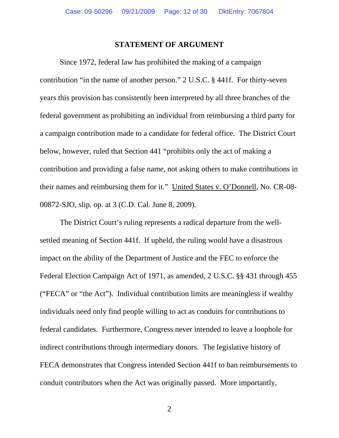#### **STATEMENT OF ARGUMENT**

 Since 1972, federal law has prohibited the making of a campaign contribution "in the name of another person." 2 U.S.C. § 441f. For thirty-seven years this provision has consistently been interpreted by all three branches of the federal government as prohibiting an individual from reimbursing a third party for a campaign contribution made to a candidate for federal office. The District Court below, however, ruled that Section 441 "prohibits only the act of making a contribution and providing a false name, not asking others to make contributions in their names and reimbursing them for it." United States v. O'Donnell, No. CR-08- 00872-SJO, slip. op. at 3 (C.D. Cal. June 8, 2009).

The District Court's ruling represents a radical departure from the wellsettled meaning of Section 441f. If upheld, the ruling would have a disastrous impact on the ability of the Department of Justice and the FEC to enforce the Federal Election Campaign Act of 1971, as amended, 2 U.S.C. §§ 431 through 455 ("FECA" or "the Act"). Individual contribution limits are meaningless if wealthy individuals need only find people willing to act as conduits for contributions to federal candidates. Furthermore, Congress never intended to leave a loophole for indirect contributions through intermediary donors. The legislative history of FECA demonstrates that Congress intended Section 441f to ban reimbursements to conduit contributors when the Act was originally passed. More importantly,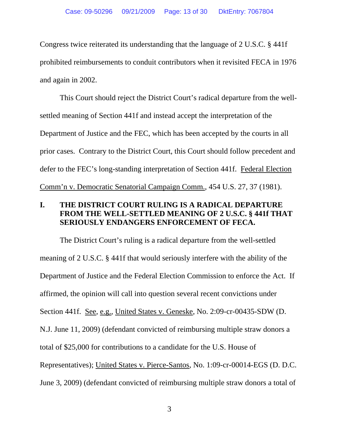Congress twice reiterated its understanding that the language of 2 U.S.C. § 441f prohibited reimbursements to conduit contributors when it revisited FECA in 1976 and again in 2002.

This Court should reject the District Court's radical departure from the wellsettled meaning of Section 441f and instead accept the interpretation of the Department of Justice and the FEC, which has been accepted by the courts in all prior cases. Contrary to the District Court, this Court should follow precedent and defer to the FEC's long-standing interpretation of Section 441f. Federal Election Comm'n v. Democratic Senatorial Campaign Comm., 454 U.S. 27, 37 (1981).

### **I. THE DISTRICT COURT RULING IS A RADICAL DEPARTURE FROM THE WELL-SETTLED MEANING OF 2 U.S.C. § 441f THAT SERIOUSLY ENDANGERS ENFORCEMENT OF FECA.**

The District Court's ruling is a radical departure from the well-settled meaning of 2 U.S.C. § 441f that would seriously interfere with the ability of the Department of Justice and the Federal Election Commission to enforce the Act. If affirmed, the opinion will call into question several recent convictions under Section 441f. See, e.g., United States v. Geneske, No. 2:09-cr-00435-SDW (D. N.J. June 11, 2009) (defendant convicted of reimbursing multiple straw donors a total of \$25,000 for contributions to a candidate for the U.S. House of Representatives); United States v. Pierce-Santos, No. 1:09-cr-00014-EGS (D. D.C. June 3, 2009) (defendant convicted of reimbursing multiple straw donors a total of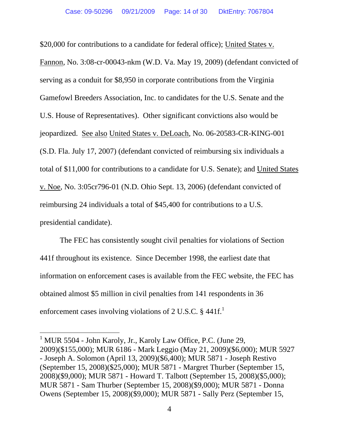\$20,000 for contributions to a candidate for federal office); United States v.

Fannon, No. 3:08-cr-00043-nkm (W.D. Va. May 19, 2009) (defendant convicted of serving as a conduit for \$8,950 in corporate contributions from the Virginia Gamefowl Breeders Association, Inc. to candidates for the U.S. Senate and the U.S. House of Representatives). Other significant convictions also would be jeopardized. See also United States v. DeLoach, No. 06-20583-CR-KING-001 (S.D. Fla. July 17, 2007) (defendant convicted of reimbursing six individuals a total of \$11,000 for contributions to a candidate for U.S. Senate); and United States v. Noe, No. 3:05cr796-01 (N.D. Ohio Sept. 13, 2006) (defendant convicted of reimbursing 24 individuals a total of \$45,400 for contributions to a U.S. presidential candidate).

The FEC has consistently sought civil penalties for violations of Section 441f throughout its existence. Since December 1998, the earliest date that information on enforcement cases is available from the FEC website, the FEC has obtained almost \$5 million in civil penalties from 141 respondents in 36 enforcement cases involving violations of 2 U.S.C.  $\S$  441f.<sup>1</sup>

<sup>&</sup>lt;sup>1</sup> MUR 5504 - John Karoly, Jr., Karoly Law Office, P.C. (June 29, 2009)(\$155,000); MUR 6186 - Mark Leggio (May 21, 2009)(\$6,000); MUR 5927 - Joseph A. Solomon (April 13, 2009)(\$6,400); MUR 5871 - Joseph Restivo (September 15, 2008)(\$25,000); MUR 5871 - Margret Thurber (September 15, 2008)(\$9,000); MUR 5871 - Howard T. Talbott (September 15, 2008)(\$5,000); MUR 5871 - Sam Thurber (September 15, 2008)(\$9,000); MUR 5871 - Donna Owens (September 15, 2008)(\$9,000); MUR 5871 - Sally Perz (September 15,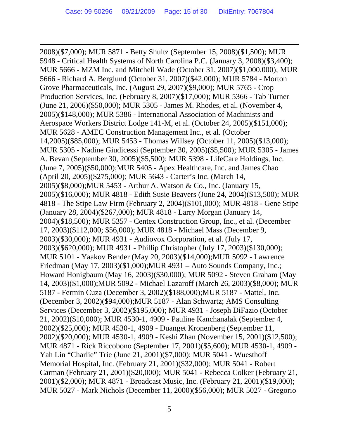$\overline{a}$ 

2008)(\$7,000); MUR 5871 - Betty Shultz (September 15, 2008)(\$1,500); MUR 5948 - Critical Health Systems of North Carolina P.C. (January 3, 2008)(\$3,400); MUR 5666 - MZM Inc. and Mitchell Wade (October 31, 2007)(\$1,000,000); MUR 5666 - Richard A. Berglund (October 31, 2007)(\$42,000); MUR 5784 - Morton Grove Pharmaceuticals, Inc. (August 29, 2007)(\$9,000); MUR 5765 - Crop Production Services, Inc. (February 8, 2007)(\$17,000); MUR 5366 - Tab Turner (June 21, 2006)(\$50,000); MUR 5305 - James M. Rhodes, et al. (November 4, 2005)(\$148,000); MUR 5386 - International Association of Machinists and Aerospace Workers District Lodge 141-M, et al. (October 24, 2005)(\$151,000); MUR 5628 - AMEC Construction Management Inc., et al. (October 14,2005)(\$85,000); MUR 5453 - Thomas Willsey (October 11, 2005)(\$13,000); MUR 5305 - Nadine Giudicessi (September 30, 2005)(\$5,500); MUR 5305 - James A. Bevan (September 30, 2005)(\$5,500); MUR 5398 - LifeCare Holdings, Inc. (June 7, 2005)(\$50,000);MUR 5405 - Apex Healthcare, Inc. and James Chao (April 20, 2005)(\$275,000); MUR 5643 - Carter's Inc. (March 14, 2005)(\$8,000);MUR 5453 - Arthur A. Watson & Co., Inc. (January 15, 2005)(\$16,000); MUR 4818 - Edith Susie Beavers (June 24, 2004)(\$13,500); MUR 4818 - The Stipe Law Firm (February 2, 2004)(\$101,000); MUR 4818 - Gene Stipe (January 28, 2004)(\$267,000); MUR 4818 - Larry Morgan (January 14, 2004)(\$18,500); MUR 5357 - Centex Construction Group, Inc., et al. (December 17, 2003)(\$112,000; \$56,000); MUR 4818 - Michael Mass (December 9, 2003)(\$30,000); MUR 4931 - Audiovox Corporation, et al. (July 17, 2003)(\$620,000); MUR 4931 - Phillip Christopher (July 17, 2003)(\$130,000); MUR 5101 - Yaakov Bender (May 20, 2003)(\$14,000);MUR 5092 - Lawrence Friedman (May 17, 2003)(\$1,000);MUR 4931 – Auto Sounds Company, Inc.; Howard Honigbaum (May 16, 2003)(\$30,000); MUR 5092 - Steven Graham (May 14, 2003)(\$1,000);MUR 5092 - Michael Lazaroff (March 26, 2003)(\$8,000); MUR 5187 - Fermin Cuza (December 3, 2002)(\$188,000);MUR 5187 - Mattel, Inc. (December 3, 2002)(\$94,000);MUR 5187 - Alan Schwartz; AMS Consulting Services (December 3, 2002)(\$195,000); MUR 4931 - Joseph DiFazio (October 21, 2002)(\$10,000); MUR 4530-1, 4909 - Pauline Kanchanalak (September 4, 2002)(\$25,000); MUR 4530-1, 4909 - Duanget Kronenberg (September 11, 2002)(\$20,000); MUR 4530-1, 4909 - Keshi Zhan (November 15, 2001)(\$12,500); MUR 4871 - Rick Riccobono (September 17, 2001)(\$5,600); MUR 4530-1, 4909 - Yah Lin "Charlie" Trie (June 21, 2001)(\$7,000); MUR 5041 - Wuesthoff Memorial Hospital, Inc. (February 21, 2001)(\$32,000); MUR 5041 - Robert Carman (February 21, 2001)(\$20,000); MUR 5041 - Rebecca Colker (February 21, 2001)(\$2,000); MUR 4871 - Broadcast Music, Inc. (February 21, 2001)(\$19,000); MUR 5027 - Mark Nichols (December 11, 2000)(\$56,000); MUR 5027 - Gregorio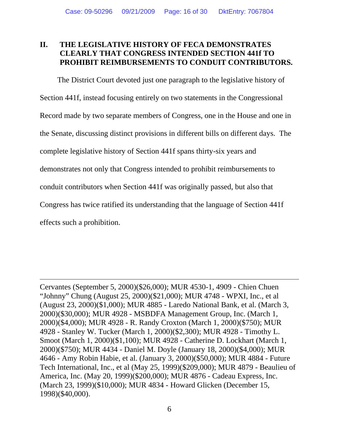#### **II. THE LEGISLATIVE HISTORY OF FECA DEMONSTRATES CLEARLY THAT CONGRESS INTENDED SECTION 441f TO PROHIBIT REIMBURSEMENTS TO CONDUIT CONTRIBUTORS.**

The District Court devoted just one paragraph to the legislative history of Section 441f, instead focusing entirely on two statements in the Congressional Record made by two separate members of Congress, one in the House and one in the Senate, discussing distinct provisions in different bills on different days. The complete legislative history of Section 441f spans thirty-six years and demonstrates not only that Congress intended to prohibit reimbursements to conduit contributors when Section 441f was originally passed, but also that Congress has twice ratified its understanding that the language of Section 441f effects such a prohibition.

Cervantes (September 5, 2000)(\$26,000); MUR 4530-1, 4909 - Chien Chuen "Johnny" Chung (August 25, 2000)(\$21,000); MUR 4748 - WPXI, Inc., et al (August 23, 2000)(\$1,000); MUR 4885 - Laredo National Bank, et al. (March 3, 2000)(\$30,000); MUR 4928 - MSBDFA Management Group, Inc. (March 1, 2000)(\$4,000); MUR 4928 - R. Randy Croxton (March 1, 2000)(\$750); MUR 4928 - Stanley W. Tucker (March 1, 2000)(\$2,300); MUR 4928 - Timothy L. Smoot (March 1, 2000)(\$1,100); MUR 4928 - Catherine D. Lockhart (March 1, 2000)(\$750); MUR 4434 - Daniel M. Doyle (January 18, 2000)(\$4,000); MUR 4646 - Amy Robin Habie, et al. (January 3, 2000)(\$50,000); MUR 4884 - Future Tech International, Inc., et al (May 25, 1999)(\$209,000); MUR 4879 - Beaulieu of America, Inc. (May 20, 1999)(\$200,000); MUR 4876 - Cadeau Express, Inc. (March 23, 1999)(\$10,000); MUR 4834 - Howard Glicken (December 15, 1998)(\$40,000).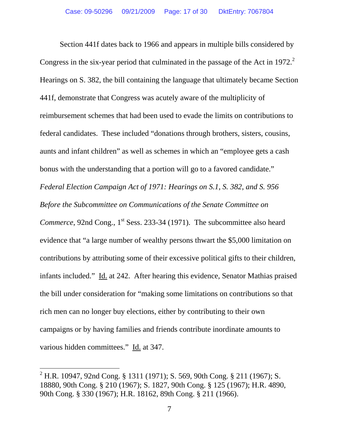Section 441f dates back to 1966 and appears in multiple bills considered by Congress in the six-year period that culminated in the passage of the Act in 1972. $2$ Hearings on S. 382, the bill containing the language that ultimately became Section 441f, demonstrate that Congress was acutely aware of the multiplicity of reimbursement schemes that had been used to evade the limits on contributions to federal candidates. These included "donations through brothers, sisters, cousins, aunts and infant children" as well as schemes in which an "employee gets a cash bonus with the understanding that a portion will go to a favored candidate." *Federal Election Campaign Act of 1971: Hearings on S.1*, *S. 382*, *and S. 956 Before the Subcommittee on Communications of the Senate Committee on Commerce*, 92nd Cong., 1<sup>st</sup> Sess. 233-34 (1971). The subcommittee also heard evidence that "a large number of wealthy persons thwart the \$5,000 limitation on contributions by attributing some of their excessive political gifts to their children, infants included." Id. at 242. After hearing this evidence, Senator Mathias praised the bill under consideration for "making some limitations on contributions so that rich men can no longer buy elections, either by contributing to their own campaigns or by having families and friends contribute inordinate amounts to various hidden committees." Id. at 347.

<sup>&</sup>lt;sup>2</sup> H.R. 10947, 92nd Cong. § 1311 (1971); S. 569, 90th Cong. § 211 (1967); S. 18880, 90th Cong. § 210 (1967); S. 1827, 90th Cong. § 125 (1967); H.R. 4890, 90th Cong. § 330 (1967); H.R. 18162, 89th Cong. § 211 (1966).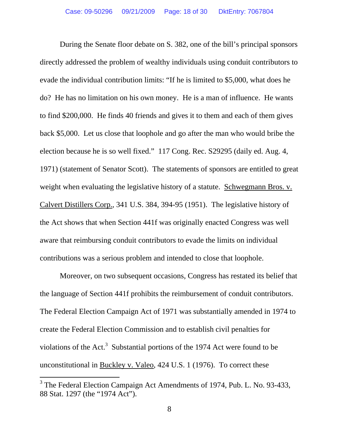During the Senate floor debate on S. 382, one of the bill's principal sponsors directly addressed the problem of wealthy individuals using conduit contributors to evade the individual contribution limits: "If he is limited to \$5,000, what does he do? He has no limitation on his own money. He is a man of influence. He wants to find \$200,000. He finds 40 friends and gives it to them and each of them gives back \$5,000. Let us close that loophole and go after the man who would bribe the election because he is so well fixed." 117 Cong. Rec. S29295 (daily ed. Aug. 4, 1971) (statement of Senator Scott). The statements of sponsors are entitled to great weight when evaluating the legislative history of a statute. Schwegmann Bros. v. Calvert Distillers Corp., 341 U.S. 384, 394-95 (1951). The legislative history of the Act shows that when Section 441f was originally enacted Congress was well aware that reimbursing conduit contributors to evade the limits on individual contributions was a serious problem and intended to close that loophole.

 Moreover, on two subsequent occasions, Congress has restated its belief that the language of Section 441f prohibits the reimbursement of conduit contributors. The Federal Election Campaign Act of 1971 was substantially amended in 1974 to create the Federal Election Commission and to establish civil penalties for violations of the  $Act.^3$  Substantial portions of the 1974 Act were found to be unconstitutional in Buckley v. Valeo, 424 U.S. 1 (1976). To correct these

<sup>&</sup>lt;sup>3</sup> The Federal Election Campaign Act Amendments of 1974, Pub. L. No. 93-433, 88 Stat. 1297 (the "1974 Act").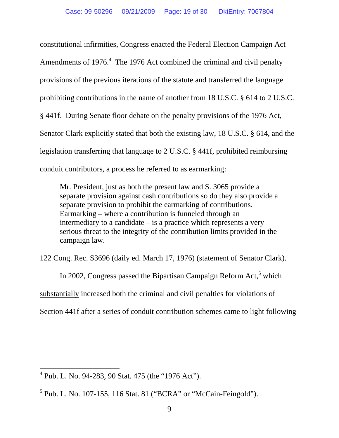constitutional infirmities, Congress enacted the Federal Election Campaign Act Amendments of  $1976<sup>4</sup>$  The 1976 Act combined the criminal and civil penalty provisions of the previous iterations of the statute and transferred the language prohibiting contributions in the name of another from 18 U.S.C. § 614 to 2 U.S.C. § 441f. During Senate floor debate on the penalty provisions of the 1976 Act, Senator Clark explicitly stated that both the existing law, 18 U.S.C. § 614, and the legislation transferring that language to 2 U.S.C. § 441f, prohibited reimbursing conduit contributors, a process he referred to as earmarking:

Mr. President, just as both the present law and S. 3065 provide a separate provision against cash contributions so do they also provide a separate provision to prohibit the earmarking of contributions. Earmarking – where a contribution is funneled through an intermediary to a candidate – is a practice which represents a very serious threat to the integrity of the contribution limits provided in the campaign law.

122 Cong. Rec. S3696 (daily ed. March 17, 1976) (statement of Senator Clark).

In 2002, Congress passed the Bipartisan Campaign Reform Act,<sup>5</sup> which substantially increased both the criminal and civil penalties for violations of Section 441f after a series of conduit contribution schemes came to light following

 $4$  Pub. L. No. 94-283, 90 Stat. 475 (the "1976 Act").

 $<sup>5</sup>$  Pub. L. No. 107-155, 116 Stat. 81 ("BCRA" or "McCain-Feingold").</sup>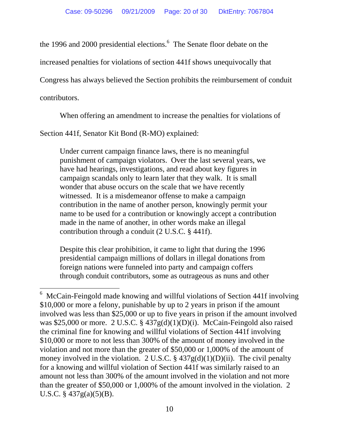the 1996 and 2000 presidential elections.<sup>6</sup> The Senate floor debate on the

increased penalties for violations of section 441f shows unequivocally that

Congress has always believed the Section prohibits the reimbursement of conduit

contributors.

 $\overline{a}$ 

When offering an amendment to increase the penalties for violations of

Section 441f, Senator Kit Bond (R-MO) explained:

Under current campaign finance laws, there is no meaningful punishment of campaign violators. Over the last several years, we have had hearings, investigations, and read about key figures in campaign scandals only to learn later that they walk. It is small wonder that abuse occurs on the scale that we have recently witnessed. It is a misdemeanor offense to make a campaign contribution in the name of another person, knowingly permit your name to be used for a contribution or knowingly accept a contribution made in the name of another, in other words make an illegal contribution through a conduit (2 U.S.C. § 441f).

Despite this clear prohibition, it came to light that during the 1996 presidential campaign millions of dollars in illegal donations from foreign nations were funneled into party and campaign coffers through conduit contributors, some as outrageous as nuns and other

<sup>&</sup>lt;sup>6</sup> McCain-Feingold made knowing and willful violations of Section 441f involving \$10,000 or more a felony, punishable by up to 2 years in prison if the amount involved was less than \$25,000 or up to five years in prison if the amount involved was \$25,000 or more. 2 U.S.C. § 437g(d)(1)(D)(i). McCain-Feingold also raised the criminal fine for knowing and willful violations of Section 441f involving \$10,000 or more to not less than 300% of the amount of money involved in the violation and not more than the greater of \$50,000 or 1,000% of the amount of money involved in the violation. 2 U.S.C.  $\S$  437g(d)(1)(D)(ii). The civil penalty for a knowing and willful violation of Section 441f was similarly raised to an amount not less than 300% of the amount involved in the violation and not more than the greater of \$50,000 or 1,000% of the amount involved in the violation. 2 U.S.C. § 437g(a)(5)(B).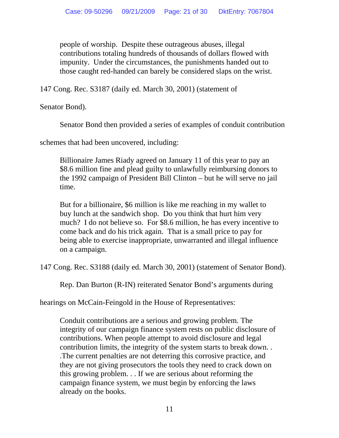people of worship. Despite these outrageous abuses, illegal contributions totaling hundreds of thousands of dollars flowed with impunity. Under the circumstances, the punishments handed out to those caught red-handed can barely be considered slaps on the wrist.

147 Cong. Rec. S3187 (daily ed. March 30, 2001) (statement of

Senator Bond).

Senator Bond then provided a series of examples of conduit contribution

schemes that had been uncovered, including:

Billionaire James Riady agreed on January 11 of this year to pay an \$8.6 million fine and plead guilty to unlawfully reimbursing donors to the 1992 campaign of President Bill Clinton – but he will serve no jail time.

But for a billionaire, \$6 million is like me reaching in my wallet to buy lunch at the sandwich shop. Do you think that hurt him very much? I do not believe so. For \$8.6 million, he has every incentive to come back and do his trick again. That is a small price to pay for being able to exercise inappropriate, unwarranted and illegal influence on a campaign.

147 Cong. Rec. S3188 (daily ed. March 30, 2001) (statement of Senator Bond).

Rep. Dan Burton (R-IN) reiterated Senator Bond's arguments during

hearings on McCain-Feingold in the House of Representatives:

Conduit contributions are a serious and growing problem. The integrity of our campaign finance system rests on public disclosure of contributions. When people attempt to avoid disclosure and legal contribution limits, the integrity of the system starts to break down. . .The current penalties are not deterring this corrosive practice, and they are not giving prosecutors the tools they need to crack down on this growing problem. . . If we are serious about reforming the campaign finance system, we must begin by enforcing the laws already on the books.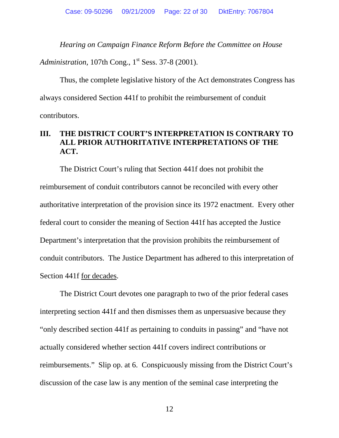*Hearing on Campaign Finance Reform Before the Committee on House* 

*Administration*, 107th Cong., 1<sup>st</sup> Sess. 37-8 (2001).

Thus, the complete legislative history of the Act demonstrates Congress has always considered Section 441f to prohibit the reimbursement of conduit contributors.

### **III. THE DISTRICT COURT'S INTERPRETATION IS CONTRARY TO ALL PRIOR AUTHORITATIVE INTERPRETATIONS OF THE ACT.**

The District Court's ruling that Section 441f does not prohibit the reimbursement of conduit contributors cannot be reconciled with every other authoritative interpretation of the provision since its 1972 enactment. Every other federal court to consider the meaning of Section 441f has accepted the Justice Department's interpretation that the provision prohibits the reimbursement of conduit contributors. The Justice Department has adhered to this interpretation of Section 441f for decades.

The District Court devotes one paragraph to two of the prior federal cases interpreting section 441f and then dismisses them as unpersuasive because they "only described section 441f as pertaining to conduits in passing" and "have not actually considered whether section 441f covers indirect contributions or reimbursements." Slip op. at 6. Conspicuously missing from the District Court's discussion of the case law is any mention of the seminal case interpreting the

12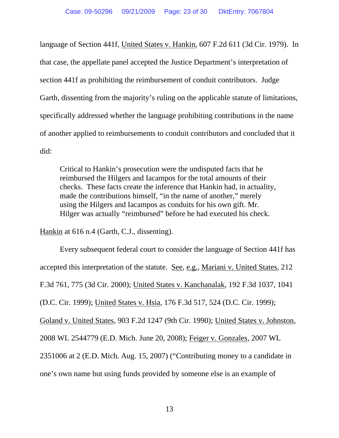language of Section 441f, United States v. Hankin, 607 F.2d 611 (3d Cir. 1979). In that case, the appellate panel accepted the Justice Department's interpretation of section 441f as prohibiting the reimbursement of conduit contributors. Judge Garth, dissenting from the majority's ruling on the applicable statute of limitations, specifically addressed whether the language prohibiting contributions in the name of another applied to reimbursements to conduit contributors and concluded that it did:

Critical to Hankin's prosecution were the undisputed facts that he reimbursed the Hilgers and Iacampos for the total amounts of their checks. These facts create the inference that Hankin had, in actuality, made the contributions himself, "in the name of another," merely using the Hilgers and Iacampos as conduits for his own gift. Mr. Hilger was actually "reimbursed" before he had executed his check.

Hankin at 616 n.4 (Garth, C.J., dissenting).

Every subsequent federal court to consider the language of Section 441f has accepted this interpretation of the statute. See, e.g., Mariani v. United States, 212 F.3d 761, 775 (3d Cir. 2000); United States v. Kanchanalak, 192 F.3d 1037, 1041 (D.C. Cir. 1999); United States v. Hsia, 176 F.3d 517, 524 (D.C. Cir. 1999); Goland v. United States, 903 F.2d 1247 (9th Cir. 1990); United States v. Johnston, 2008 WL 2544779 (E.D. Mich. June 20, 2008); Feiger v. Gonzales, 2007 WL 2351006 at 2 (E.D. Mich. Aug. 15, 2007) ("Contributing money to a candidate in one's own name but using funds provided by someone else is an example of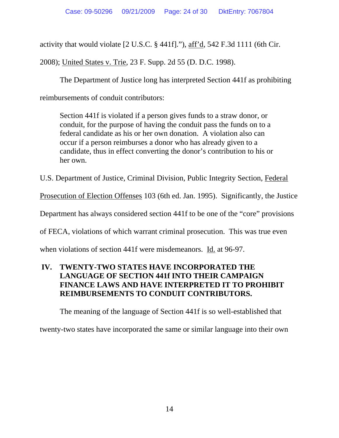activity that would violate [2 U.S.C. § 441f]."), aff'd, 542 F.3d 1111 (6th Cir.

2008); United States v. Trie, 23 F. Supp. 2d 55 (D. D.C. 1998).

The Department of Justice long has interpreted Section 441f as prohibiting

reimbursements of conduit contributors:

Section 441f is violated if a person gives funds to a straw donor, or conduit, for the purpose of having the conduit pass the funds on to a federal candidate as his or her own donation. A violation also can occur if a person reimburses a donor who has already given to a candidate, thus in effect converting the donor's contribution to his or her own.

U.S. Department of Justice, Criminal Division, Public Integrity Section, Federal

Prosecution of Election Offenses 103 (6th ed. Jan. 1995). Significantly, the Justice

Department has always considered section 441f to be one of the "core" provisions

of FECA, violations of which warrant criminal prosecution. This was true even

when violations of section 441f were misdemeanors. Id. at 96-97.

### **IV. TWENTY-TWO STATES HAVE INCORPORATED THE LANGUAGE OF SECTION 441f INTO THEIR CAMPAIGN FINANCE LAWS AND HAVE INTERPRETED IT TO PROHIBIT REIMBURSEMENTS TO CONDUIT CONTRIBUTORS.**

The meaning of the language of Section 441f is so well-established that

twenty-two states have incorporated the same or similar language into their own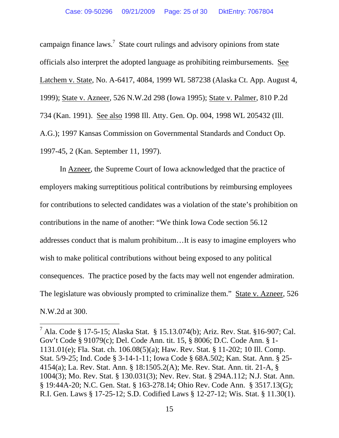campaign finance laws.<sup>7</sup> State court rulings and advisory opinions from state officials also interpret the adopted language as prohibiting reimbursements. See Latchem v. State, No. A-6417, 4084, 1999 WL 587238 (Alaska Ct. App. August 4, 1999); State v. Azneer, 526 N.W.2d 298 (Iowa 1995); State v. Palmer, 810 P.2d 734 (Kan. 1991). See also 1998 Ill. Atty. Gen. Op. 004, 1998 WL 205432 (Ill. A.G.); 1997 Kansas Commission on Governmental Standards and Conduct Op. 1997-45, 2 (Kan. September 11, 1997).

In Azneer, the Supreme Court of Iowa acknowledged that the practice of employers making surreptitious political contributions by reimbursing employees for contributions to selected candidates was a violation of the state's prohibition on contributions in the name of another: "We think Iowa Code section 56.12 addresses conduct that is malum prohibitum…It is easy to imagine employers who wish to make political contributions without being exposed to any political consequences. The practice posed by the facts may well not engender admiration. The legislature was obviously prompted to criminalize them." State v. Azneer, 526 N.W.2d at 300.

<sup>&</sup>lt;sup>7</sup> Ala. Code § 17-5-15; Alaska Stat. § 15.13.074(b); Ariz. Rev. Stat. § 16-907; Cal. Gov't Code § 91079(c); Del. Code Ann. tit. 15, § 8006; D.C. Code Ann. § 1- 1131.01(e); Fla. Stat. ch. 106.08(5)(a); Haw. Rev. Stat. § 11-202; 10 Ill. Comp. Stat. 5/9-25; Ind. Code § 3-14-1-11; Iowa Code § 68A.502; Kan. Stat. Ann. § 25- 4154(a); La. Rev. Stat. Ann. § 18:1505.2(A); Me. Rev. Stat. Ann. tit. 21-A, § 1004(3); Mo. Rev. Stat. § 130.031(3); Nev. Rev. Stat. § 294A.112; N.J. Stat. Ann. § 19:44A-20; N.C. Gen. Stat. § 163-278.14; Ohio Rev. Code Ann. § 3517.13(G); R.I. Gen. Laws § 17-25-12; S.D. Codified Laws § 12-27-12; Wis. Stat. § 11.30(1).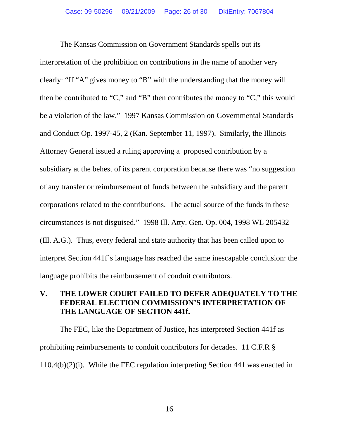The Kansas Commission on Government Standards spells out its interpretation of the prohibition on contributions in the name of another very clearly: "If "A" gives money to "B" with the understanding that the money will then be contributed to "C," and "B" then contributes the money to "C," this would be a violation of the law." 1997 Kansas Commission on Governmental Standards and Conduct Op. 1997-45, 2 (Kan. September 11, 1997). Similarly, the Illinois Attorney General issued a ruling approving a proposed contribution by a subsidiary at the behest of its parent corporation because there was "no suggestion of any transfer or reimbursement of funds between the subsidiary and the parent corporations related to the contributions. The actual source of the funds in these circumstances is not disguised." 1998 Ill. Atty. Gen. Op. 004, 1998 WL 205432 (Ill. A.G.). Thus, every federal and state authority that has been called upon to interpret Section 441f's language has reached the same inescapable conclusion: the language prohibits the reimbursement of conduit contributors.

### **V. THE LOWER COURT FAILED TO DEFER ADEQUATELY TO THE FEDERAL ELECTION COMMISSION'S INTERPRETATION OF THE LANGUAGE OF SECTION 441f.**

The FEC, like the Department of Justice, has interpreted Section 441f as prohibiting reimbursements to conduit contributors for decades. 11 C.F.R § 110.4(b)(2)(i). While the FEC regulation interpreting Section 441 was enacted in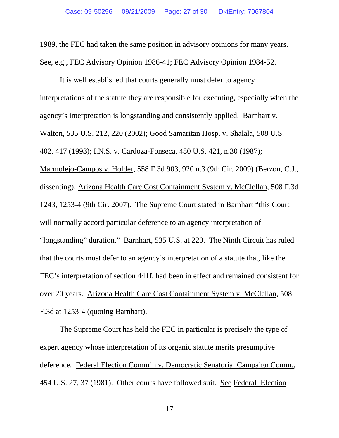1989, the FEC had taken the same position in advisory opinions for many years. See, e.g., FEC Advisory Opinion 1986-41; FEC Advisory Opinion 1984-52.

It is well established that courts generally must defer to agency interpretations of the statute they are responsible for executing, especially when the agency's interpretation is longstanding and consistently applied. Barnhart v. Walton, 535 U.S. 212, 220 (2002); Good Samaritan Hosp. v. Shalala, 508 U.S. 402, 417 (1993); I.N.S. v. Cardoza-Fonseca, 480 U.S. 421, n.30 (1987); Marmolejo-Campos v. Holder, 558 F.3d 903, 920 n.3 (9th Cir. 2009) (Berzon, C.J., dissenting); Arizona Health Care Cost Containment System v. McClellan, 508 F.3d 1243, 1253-4 (9th Cir. 2007). The Supreme Court stated in Barnhart "this Court will normally accord particular deference to an agency interpretation of "longstanding" duration." Barnhart, 535 U.S. at 220. The Ninth Circuit has ruled that the courts must defer to an agency's interpretation of a statute that, like the FEC's interpretation of section 441f, had been in effect and remained consistent for over 20 years. Arizona Health Care Cost Containment System v. McClellan, 508 F.3d at 1253-4 (quoting Barnhart).

The Supreme Court has held the FEC in particular is precisely the type of expert agency whose interpretation of its organic statute merits presumptive deference. Federal Election Comm'n v. Democratic Senatorial Campaign Comm., 454 U.S. 27, 37 (1981). Other courts have followed suit. See Federal Election

17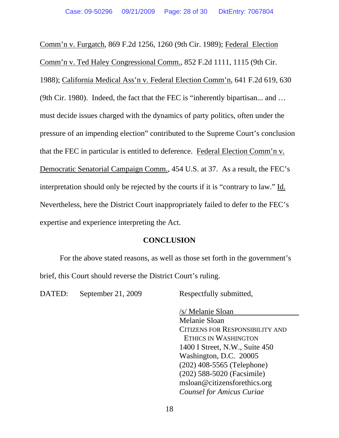Comm'n v. Furgatch, 869 F.2d 1256, 1260 (9th Cir. 1989); Federal Election Comm'n v. Ted Haley Congressional Comm., 852 F.2d 1111, 1115 (9th Cir. 1988); California Medical Ass'n v. Federal Election Comm'n, 641 F.2d 619, 630 (9th Cir. 1980). Indeed, the fact that the FEC is "inherently bipartisan... and … must decide issues charged with the dynamics of party politics, often under the pressure of an impending election" contributed to the Supreme Court's conclusion that the FEC in particular is entitled to deference. Federal Election Comm'n v. Democratic Senatorial Campaign Comm., 454 U.S. at 37. As a result, the FEC's interpretation should only be rejected by the courts if it is "contrary to law." Id. Nevertheless, here the District Court inappropriately failed to defer to the FEC's expertise and experience interpreting the Act.

#### **CONCLUSION**

 For the above stated reasons, as well as those set forth in the government's brief, this Court should reverse the District Court's ruling.

DATED: September 21, 2009 Respectfully submitted,

 /s/ Melanie Sloan Melanie Sloan CITIZENS FOR RESPONSIBILITY AND ETHICS IN WASHINGTON 1400 I Street, N.W., Suite 450 Washington, D.C. 20005 (202) 408-5565 (Telephone) (202) 588-5020 (Facsimile) msloan@citizensforethics.org  *Counsel for Amicus Curiae*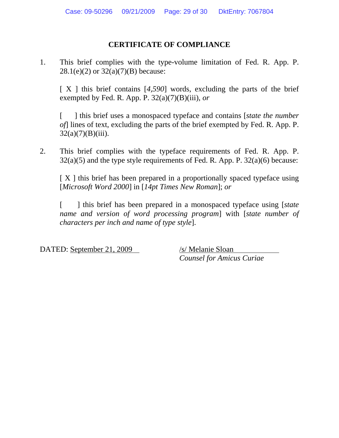### **CERTIFICATE OF COMPLIANCE**

1. This brief complies with the type-volume limitation of Fed. R. App. P.  $28.1(e)(2)$  or  $32(a)(7)(B)$  because:

[ X ] this brief contains [*4,590*] words, excluding the parts of the brief exempted by Fed. R. App. P.  $32(a)(7)(B)(iii)$ , *or* 

[ ] this brief uses a monospaced typeface and contains [*state the number of*] lines of text, excluding the parts of the brief exempted by Fed. R. App. P.  $32(a)(7)(B)(iii)$ .

2. This brief complies with the typeface requirements of Fed. R. App. P.  $32(a)(5)$  and the type style requirements of Fed. R. App. P.  $32(a)(6)$  because:

[ X ] this brief has been prepared in a proportionally spaced typeface using [*Microsoft Word 2000*] in [*14pt Times New Roman*]; *or* 

[ ] this brief has been prepared in a monospaced typeface using [*state name and version of word processing program*] with [*state number of characters per inch and name of type style*].

DATED: September 21, 2009 /s/ Melanie Sloan

*Counsel for Amicus Curiae*